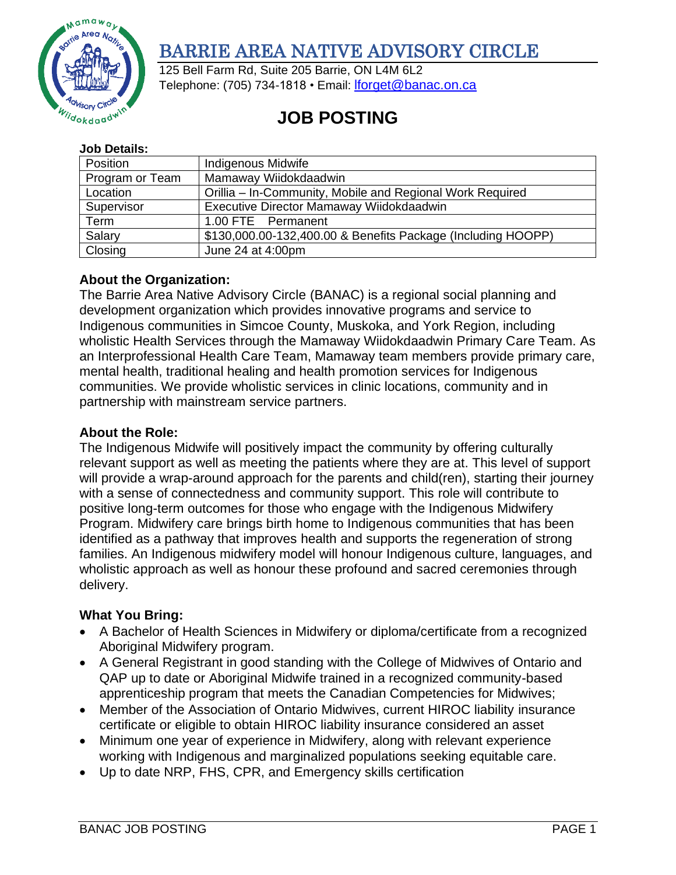

# BARRIE AREA NATIVE ADVISORY CIRCLE

125 Bell Farm Rd, Suite 205 Barrie, ON L4M 6L2 Telephone: (705) 734-1818 • Email: *[lforget@banac.on.ca](mailto:lforget@banac.on.ca)* 

# **JOB POSTING**

#### **Job Details:**

| Position        | <b>Indigenous Midwife</b>                                    |
|-----------------|--------------------------------------------------------------|
| Program or Team | Mamaway Wiidokdaadwin                                        |
| Location        | Orillia – In-Community, Mobile and Regional Work Required    |
| Supervisor      | Executive Director Mamaway Wiidokdaadwin                     |
| Term            | 1.00 FTE Permanent                                           |
| Salary          | \$130,000.00-132,400.00 & Benefits Package (Including HOOPP) |
| Closing         | June 24 at 4:00pm                                            |

## **About the Organization:**

The Barrie Area Native Advisory Circle (BANAC) is a regional social planning and development organization which provides innovative programs and service to Indigenous communities in Simcoe County, Muskoka, and York Region, including wholistic Health Services through the Mamaway Wiidokdaadwin Primary Care Team. As an Interprofessional Health Care Team, Mamaway team members provide primary care, mental health, traditional healing and health promotion services for Indigenous communities. We provide wholistic services in clinic locations, community and in partnership with mainstream service partners.

## **About the Role:**

The Indigenous Midwife will positively impact the community by offering culturally relevant support as well as meeting the patients where they are at. This level of support will provide a wrap-around approach for the parents and child(ren), starting their journey with a sense of connectedness and community support. This role will contribute to positive long-term outcomes for those who engage with the Indigenous Midwifery Program. Midwifery care brings birth home to Indigenous communities that has been identified as a pathway that improves health and supports the regeneration of strong families. An Indigenous midwifery model will honour Indigenous culture, languages, and wholistic approach as well as honour these profound and sacred ceremonies through delivery.

# **What You Bring:**

- A Bachelor of Health Sciences in Midwifery or diploma/certificate from a recognized Aboriginal Midwifery program.
- A General Registrant in good standing with the College of Midwives of Ontario and QAP up to date or Aboriginal Midwife trained in a recognized community-based apprenticeship program that meets the Canadian Competencies for Midwives;
- Member of the Association of Ontario Midwives, current HIROC liability insurance certificate or eligible to obtain HIROC liability insurance considered an asset
- Minimum one year of experience in Midwifery, along with relevant experience working with Indigenous and marginalized populations seeking equitable care.
- Up to date NRP, FHS, CPR, and Emergency skills certification